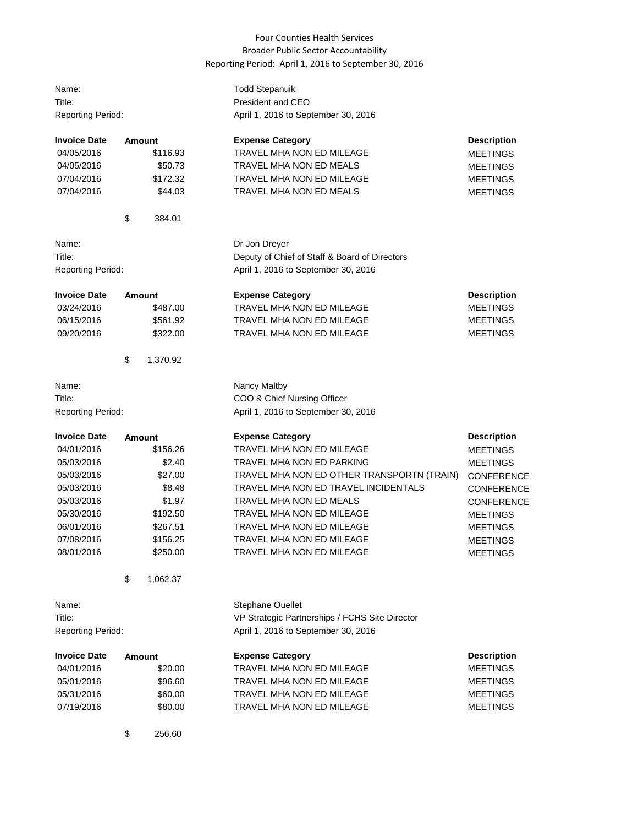## Four Counties Health Services Broader Public Sector Accountability Reporting Period: April 1, 2016 to September 30, 2016

| Name:<br>Title:<br><b>Reporting Period:</b> |        |               | <b>Todd Stepanuik</b><br>President and CEO<br>April 1, 2016 to September 30, 2016 |                    |  |
|---------------------------------------------|--------|---------------|-----------------------------------------------------------------------------------|--------------------|--|
| <b>Invoice Date</b>                         |        | <b>Amount</b> | <b>Expense Category</b>                                                           | <b>Description</b> |  |
| 04/05/2016                                  |        | \$116.93      | <b>TRAVEL MHA NON ED MILEAGE</b>                                                  | <b>MEETINGS</b>    |  |
| 04/05/2016                                  |        | \$50.73       | TRAVEL MHA NON ED MEALS                                                           | <b>MEETINGS</b>    |  |
| 07/04/2016                                  |        | \$172.32      | TRAVEL MHA NON ED MILEAGE                                                         | <b>MEETINGS</b>    |  |
| 07/04/2016                                  |        | \$44.03       | TRAVEL MHA NON ED MEALS                                                           | <b>MEETINGS</b>    |  |
|                                             | \$     | 384.01        |                                                                                   |                    |  |
| Name:                                       |        |               | Dr Jon Dreyer                                                                     |                    |  |
| Title:                                      |        |               | Deputy of Chief of Staff & Board of Directors                                     |                    |  |
| <b>Reporting Period:</b>                    |        |               | April 1, 2016 to September 30, 2016                                               |                    |  |
| <b>Invoice Date</b>                         |        | Amount        | <b>Expense Category</b>                                                           | <b>Description</b> |  |
| 03/24/2016                                  |        | \$487.00      | TRAVEL MHA NON ED MILEAGE                                                         | <b>MEETINGS</b>    |  |
| 06/15/2016                                  |        | \$561.92      | TRAVEL MHA NON ED MILEAGE                                                         | <b>MEETINGS</b>    |  |
| 09/20/2016                                  |        | \$322.00      | TRAVEL MHA NON ED MILEAGE                                                         | <b>MEETINGS</b>    |  |
|                                             | \$     | 1,370.92      |                                                                                   |                    |  |
| Name:                                       |        |               | Nancy Maltby                                                                      |                    |  |
| Title:                                      |        |               | COO & Chief Nursing Officer                                                       |                    |  |
| <b>Reporting Period:</b>                    |        |               | April 1, 2016 to September 30, 2016                                               |                    |  |
| <b>Invoice Date</b>                         |        | Amount        | <b>Expense Category</b>                                                           | <b>Description</b> |  |
| 04/01/2016                                  |        | \$156.26      | TRAVEL MHA NON ED MILEAGE                                                         | <b>MEETINGS</b>    |  |
| 05/03/2016                                  |        | \$2.40        | TRAVEL MHA NON ED PARKING                                                         | <b>MEETINGS</b>    |  |
| 05/03/2016                                  |        | \$27.00       | TRAVEL MHA NON ED OTHER TRANSPORTN (TRAIN)                                        | <b>CONFERENCE</b>  |  |
| 05/03/2016                                  |        | \$8.48        | TRAVEL MHA NON ED TRAVEL INCIDENTALS                                              | CONFERENCE         |  |
| 05/03/2016                                  |        | \$1.97        | TRAVEL MHA NON ED MEALS                                                           | <b>CONFERENCE</b>  |  |
| 05/30/2016                                  |        | \$192.50      | TRAVEL MHA NON ED MILEAGE                                                         | <b>MEETINGS</b>    |  |
| 06/01/2016                                  |        | \$267.51      | TRAVEL MHA NON ED MILEAGE                                                         | <b>MEETINGS</b>    |  |
| 07/08/2016                                  |        | \$156.25      | TRAVEL MHA NON ED MILEAGE                                                         | <b>MEETINGS</b>    |  |
| 08/01/2016                                  |        | \$250.00      | TRAVEL MHA NON ED MILEAGE                                                         | <b>MEETINGS</b>    |  |
|                                             | \$     | 1,062.37      |                                                                                   |                    |  |
| Name:                                       |        |               | Stephane Ouellet                                                                  |                    |  |
| Title:                                      |        |               | VP Strategic Partnerships / FCHS Site Director                                    |                    |  |
| <b>Reporting Period:</b>                    |        |               | April 1, 2016 to September 30, 2016                                               |                    |  |
| <b>Invoice Date</b>                         | Amount |               | <b>Expense Category</b>                                                           | <b>Description</b> |  |
| 04/01/2016                                  |        | \$20.00       | TRAVEL MHA NON ED MILEAGE                                                         | <b>MEETINGS</b>    |  |
| 05/01/2016                                  |        | \$96.60       | TRAVEL MHA NON ED MILEAGE                                                         | <b>MEETINGS</b>    |  |
| 05/31/2016                                  |        | \$60.00       | TRAVEL MHA NON ED MILEAGE                                                         | <b>MEETINGS</b>    |  |
| 07/19/2016                                  |        | \$80.00       | TRAVEL MHA NON ED MILEAGE                                                         | <b>MEETINGS</b>    |  |
|                                             | \$     | 256.60        |                                                                                   |                    |  |